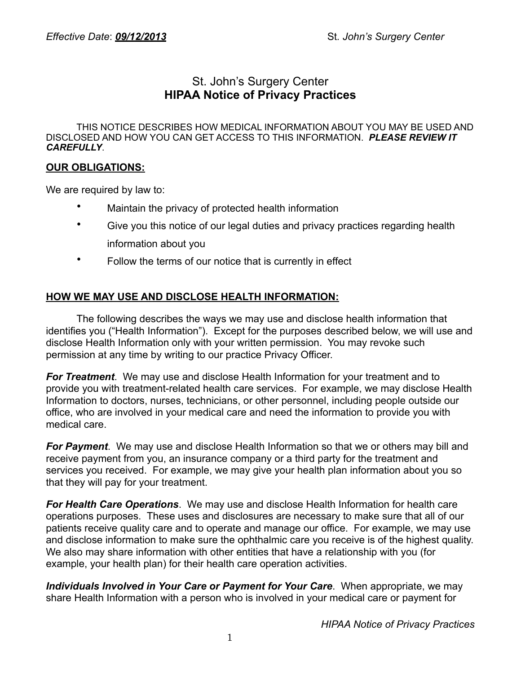# St. John's Surgery Center **HIPAA Notice of Privacy Practices**

THIS NOTICE DESCRIBES HOW MEDICAL INFORMATION ABOUT YOU MAY BE USED AND DISCLOSED AND HOW YOU CAN GET ACCESS TO THIS INFORMATION. *PLEASE REVIEW IT CAREFULLY*.

### **OUR OBLIGATIONS:**

We are required by law to:

- Maintain the privacy of protected health information
- Give you this notice of our legal duties and privacy practices regarding health information about you
- Follow the terms of our notice that is currently in effect

# **HOW WE MAY USE AND DISCLOSE HEALTH INFORMATION:**

The following describes the ways we may use and disclose health information that identifies you ("Health Information"). Except for the purposes described below, we will use and disclose Health Information only with your written permission. You may revoke such permission at any time by writing to our practice Privacy Officer.

**For Treatment**. We may use and disclose Health Information for your treatment and to provide you with treatment-related health care services. For example, we may disclose Health Information to doctors, nurses, technicians, or other personnel, including people outside our office, who are involved in your medical care and need the information to provide you with medical care.

*For Payment*. We may use and disclose Health Information so that we or others may bill and receive payment from you, an insurance company or a third party for the treatment and services you received. For example, we may give your health plan information about you so that they will pay for your treatment.

*For Health Care Operations*. We may use and disclose Health Information for health care operations purposes. These uses and disclosures are necessary to make sure that all of our patients receive quality care and to operate and manage our office. For example, we may use and disclose information to make sure the ophthalmic care you receive is of the highest quality. We also may share information with other entities that have a relationship with you (for example, your health plan) for their health care operation activities.

*Individuals Involved in Your Care or Payment for Your Care*. When appropriate, we may share Health Information with a person who is involved in your medical care or payment for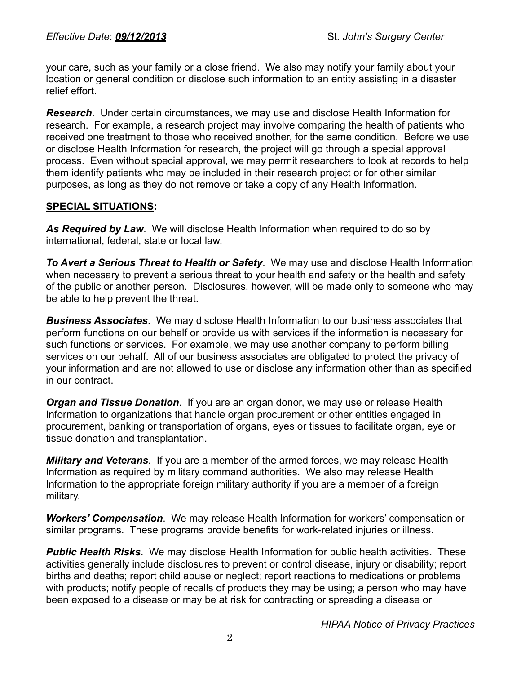your care, such as your family or a close friend. We also may notify your family about your location or general condition or disclose such information to an entity assisting in a disaster relief effort.

*Research*. Under certain circumstances, we may use and disclose Health Information for research. For example, a research project may involve comparing the health of patients who received one treatment to those who received another, for the same condition. Before we use or disclose Health Information for research, the project will go through a special approval process. Even without special approval, we may permit researchers to look at records to help them identify patients who may be included in their research project or for other similar purposes, as long as they do not remove or take a copy of any Health Information.

## **SPECIAL SITUATIONS:**

*As Required by Law*. We will disclose Health Information when required to do so by international, federal, state or local law.

*To Avert a Serious Threat to Health or Safety*. We may use and disclose Health Information when necessary to prevent a serious threat to your health and safety or the health and safety of the public or another person. Disclosures, however, will be made only to someone who may be able to help prevent the threat.

*Business Associates*. We may disclose Health Information to our business associates that perform functions on our behalf or provide us with services if the information is necessary for such functions or services. For example, we may use another company to perform billing services on our behalf. All of our business associates are obligated to protect the privacy of your information and are not allowed to use or disclose any information other than as specified in our contract.

*Organ and Tissue Donation*. If you are an organ donor, we may use or release Health Information to organizations that handle organ procurement or other entities engaged in procurement, banking or transportation of organs, eyes or tissues to facilitate organ, eye or tissue donation and transplantation.

*Military and Veterans*. If you are a member of the armed forces, we may release Health Information as required by military command authorities. We also may release Health Information to the appropriate foreign military authority if you are a member of a foreign military.

*Workers' Compensation*. We may release Health Information for workers' compensation or similar programs. These programs provide benefits for work-related injuries or illness.

**Public Health Risks**. We may disclose Health Information for public health activities. These activities generally include disclosures to prevent or control disease, injury or disability; report births and deaths; report child abuse or neglect; report reactions to medications or problems with products; notify people of recalls of products they may be using; a person who may have been exposed to a disease or may be at risk for contracting or spreading a disease or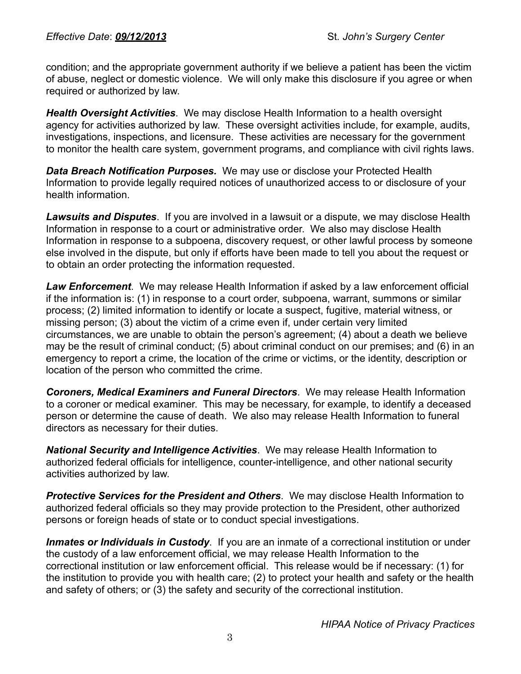condition; and the appropriate government authority if we believe a patient has been the victim of abuse, neglect or domestic violence. We will only make this disclosure if you agree or when required or authorized by law.

*Health Oversight Activities*. We may disclose Health Information to a health oversight agency for activities authorized by law. These oversight activities include, for example, audits, investigations, inspections, and licensure. These activities are necessary for the government to monitor the health care system, government programs, and compliance with civil rights laws.

*Data Breach Notification Purposes.* We may use or disclose your Protected Health Information to provide legally required notices of unauthorized access to or disclosure of your health information.

*Lawsuits and Disputes*. If you are involved in a lawsuit or a dispute, we may disclose Health Information in response to a court or administrative order. We also may disclose Health Information in response to a subpoena, discovery request, or other lawful process by someone else involved in the dispute, but only if efforts have been made to tell you about the request or to obtain an order protecting the information requested.

*Law Enforcement*. We may release Health Information if asked by a law enforcement official if the information is: (1) in response to a court order, subpoena, warrant, summons or similar process; (2) limited information to identify or locate a suspect, fugitive, material witness, or missing person; (3) about the victim of a crime even if, under certain very limited circumstances, we are unable to obtain the person's agreement; (4) about a death we believe may be the result of criminal conduct; (5) about criminal conduct on our premises; and (6) in an emergency to report a crime, the location of the crime or victims, or the identity, description or location of the person who committed the crime.

*Coroners, Medical Examiners and Funeral Directors*. We may release Health Information to a coroner or medical examiner. This may be necessary, for example, to identify a deceased person or determine the cause of death. We also may release Health Information to funeral directors as necessary for their duties.

*National Security and Intelligence Activities*. We may release Health Information to authorized federal officials for intelligence, counter-intelligence, and other national security activities authorized by law.

*Protective Services for the President and Others*. We may disclose Health Information to authorized federal officials so they may provide protection to the President, other authorized persons or foreign heads of state or to conduct special investigations.

*Inmates or Individuals in Custody*. If you are an inmate of a correctional institution or under the custody of a law enforcement official, we may release Health Information to the correctional institution or law enforcement official. This release would be if necessary: (1) for the institution to provide you with health care; (2) to protect your health and safety or the health and safety of others; or (3) the safety and security of the correctional institution.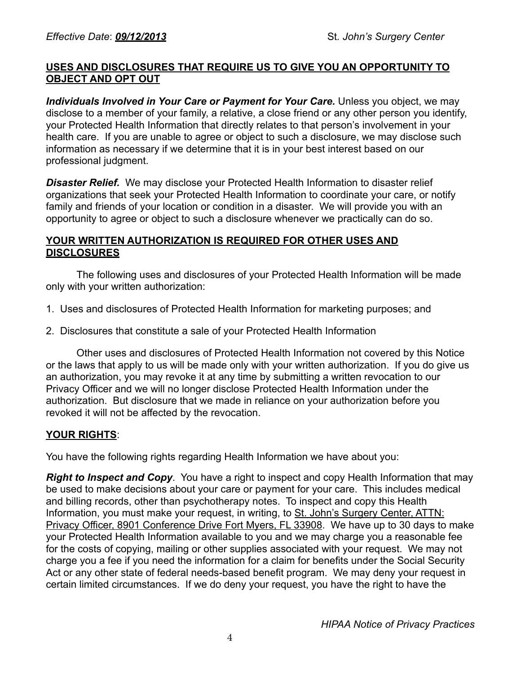### **USES AND DISCLOSURES THAT REQUIRE US TO GIVE YOU AN OPPORTUNITY TO OBJECT AND OPT OUT**

*Individuals Involved in Your Care or Payment for Your Care.* Unless you object, we may disclose to a member of your family, a relative, a close friend or any other person you identify, your Protected Health Information that directly relates to that person's involvement in your health care. If you are unable to agree or object to such a disclosure, we may disclose such information as necessary if we determine that it is in your best interest based on our professional judgment.

**Disaster Relief.** We may disclose your Protected Health Information to disaster relief organizations that seek your Protected Health Information to coordinate your care, or notify family and friends of your location or condition in a disaster. We will provide you with an opportunity to agree or object to such a disclosure whenever we practically can do so.

#### **YOUR WRITTEN AUTHORIZATION IS REQUIRED FOR OTHER USES AND DISCLOSURES**

The following uses and disclosures of your Protected Health Information will be made only with your written authorization:

- 1. Uses and disclosures of Protected Health Information for marketing purposes; and
- 2. Disclosures that constitute a sale of your Protected Health Information

Other uses and disclosures of Protected Health Information not covered by this Notice or the laws that apply to us will be made only with your written authorization. If you do give us an authorization, you may revoke it at any time by submitting a written revocation to our Privacy Officer and we will no longer disclose Protected Health Information under the authorization. But disclosure that we made in reliance on your authorization before you revoked it will not be affected by the revocation.

# **YOUR RIGHTS**:

You have the following rights regarding Health Information we have about you:

*Right to Inspect and Copy.* You have a right to inspect and copy Health Information that may be used to make decisions about your care or payment for your care. This includes medical and billing records, other than psychotherapy notes. To inspect and copy this Health Information, you must make your request, in writing, to St. John's Surgery Center, ATTN: Privacy Officer, 8901 Conference Drive Fort Myers, FL 33908. We have up to 30 days to make your Protected Health Information available to you and we may charge you a reasonable fee for the costs of copying, mailing or other supplies associated with your request. We may not charge you a fee if you need the information for a claim for benefits under the Social Security Act or any other state of federal needs-based benefit program. We may deny your request in certain limited circumstances. If we do deny your request, you have the right to have the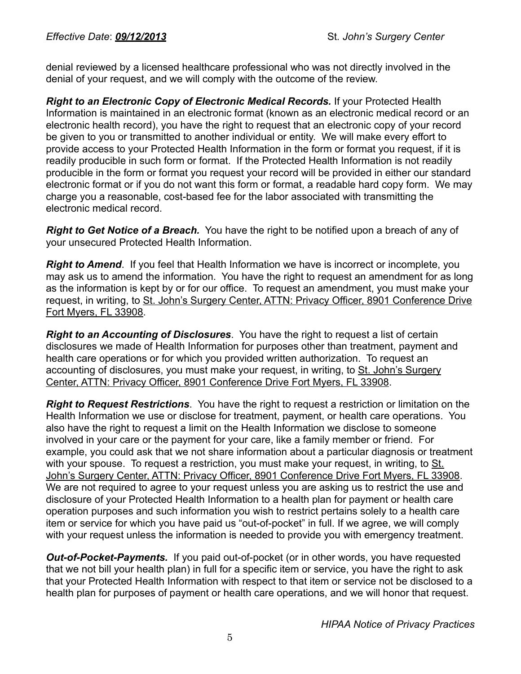denial reviewed by a licensed healthcare professional who was not directly involved in the denial of your request, and we will comply with the outcome of the review.

*Right to an Electronic Copy of Electronic Medical Records.* If your Protected Health Information is maintained in an electronic format (known as an electronic medical record or an electronic health record), you have the right to request that an electronic copy of your record be given to you or transmitted to another individual or entity. We will make every effort to provide access to your Protected Health Information in the form or format you request, if it is readily producible in such form or format. If the Protected Health Information is not readily producible in the form or format you request your record will be provided in either our standard electronic format or if you do not want this form or format, a readable hard copy form. We may charge you a reasonable, cost-based fee for the labor associated with transmitting the electronic medical record.

*Right to Get Notice of a Breach.* You have the right to be notified upon a breach of any of your unsecured Protected Health Information.

*Right to Amend.* If you feel that Health Information we have is incorrect or incomplete, you may ask us to amend the information. You have the right to request an amendment for as long as the information is kept by or for our office. To request an amendment, you must make your request, in writing, to St. John's Surgery Center, ATTN: Privacy Officer, 8901 Conference Drive Fort Myers, FL 33908.

*Right to an Accounting of Disclosures*. You have the right to request a list of certain disclosures we made of Health Information for purposes other than treatment, payment and health care operations or for which you provided written authorization. To request an accounting of disclosures, you must make your request, in writing, to St. John's Surgery Center, ATTN: Privacy Officer, 8901 Conference Drive Fort Myers, FL 33908.

*Right to Request Restrictions*. You have the right to request a restriction or limitation on the Health Information we use or disclose for treatment, payment, or health care operations. You also have the right to request a limit on the Health Information we disclose to someone involved in your care or the payment for your care, like a family member or friend. For example, you could ask that we not share information about a particular diagnosis or treatment with your spouse. To request a restriction, you must make your request, in writing, to St. John's Surgery Center, ATTN: Privacy Officer, 8901 Conference Drive Fort Myers, FL 33908. We are not required to agree to your request unless you are asking us to restrict the use and disclosure of your Protected Health Information to a health plan for payment or health care operation purposes and such information you wish to restrict pertains solely to a health care item or service for which you have paid us "out-of-pocket" in full. If we agree, we will comply with your request unless the information is needed to provide you with emergency treatment.

*Out-of-Pocket-Payments.* If you paid out-of-pocket (or in other words, you have requested that we not bill your health plan) in full for a specific item or service, you have the right to ask that your Protected Health Information with respect to that item or service not be disclosed to a health plan for purposes of payment or health care operations, and we will honor that request.